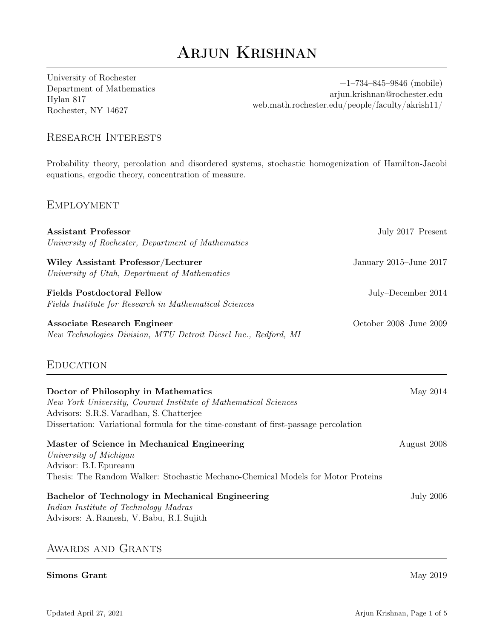# Arjun Krishnan

University of Rochester Department of Mathematics Hylan 817 Rochester, NY 14627

+1–734–845–9846 (mobile) arjun.krishnan@rochester.edu [web.math.rochester.edu/people/faculty/akrish11/](http://web.math.rochester.edu/people/faculty/akrish11/)

# Research Interests

Probability theory, percolation and disordered systems, stochastic homogenization of Hamilton-Jacobi equations, ergodic theory, concentration of measure.

## **EMPLOYMENT**

| <b>Assistant Professor</b><br>University of Rochester, Department of Mathematics                                                                                                                                                           | July 2017-Present      |
|--------------------------------------------------------------------------------------------------------------------------------------------------------------------------------------------------------------------------------------------|------------------------|
| Wiley Assistant Professor/Lecturer<br>University of Utah, Department of Mathematics                                                                                                                                                        | January 2015–June 2017 |
| <b>Fields Postdoctoral Fellow</b><br>Fields Institute for Research in Mathematical Sciences                                                                                                                                                | July-December 2014     |
| <b>Associate Research Engineer</b><br>New Technologies Division, MTU Detroit Diesel Inc., Redford, MI                                                                                                                                      | October 2008-June 2009 |
| <b>EDUCATION</b>                                                                                                                                                                                                                           |                        |
| Doctor of Philosophy in Mathematics<br>New York University, Courant Institute of Mathematical Sciences<br>Advisors: S.R.S. Varadhan, S. Chatterjee<br>Dissertation: Variational formula for the time-constant of first-passage percolation | May 2014               |
| Master of Science in Mechanical Engineering<br>University of Michigan<br>Advisor: B.I. Epureanu<br>Thesis: The Random Walker: Stochastic Mechano-Chemical Models for Motor Proteins                                                        | August 2008            |
| Bachelor of Technology in Mechanical Engineering<br>Indian Institute of Technology Madras<br>Advisors: A. Ramesh, V. Babu, R.I. Sujith                                                                                                     | <b>July 2006</b>       |
| AWARDS AND GRANTS                                                                                                                                                                                                                          |                        |

#### Simons Grant May 2019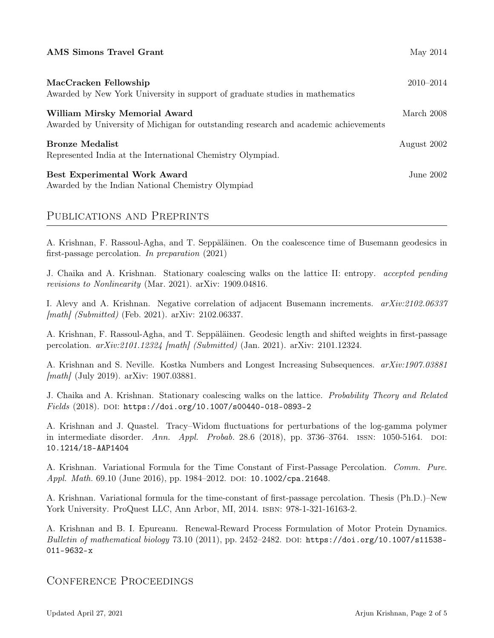| <b>AMS Simons Travel Grant</b>                                                                                        | May 2014    |
|-----------------------------------------------------------------------------------------------------------------------|-------------|
| MacCracken Fellowship<br>Awarded by New York University in support of graduate studies in mathematics                 | 2010–2014   |
| William Mirsky Memorial Award<br>Awarded by University of Michigan for outstanding research and academic achievements | March 2008  |
| <b>Bronze Medalist</b><br>Represented India at the International Chemistry Olympiad.                                  | August 2002 |
| <b>Best Experimental Work Award</b><br>Awarded by the Indian National Chemistry Olympiad                              | June 2002.  |

# Publications and Preprints

A. Krishnan, F. Rassoul-Agha, and T. Seppäläinen. On the coalescence time of Busemann geodesics in first-passage percolation. In preparation (2021)

J. Chaika and A. Krishnan. Stationary coalescing walks on the lattice II: entropy. accepted pending revisions to Nonlinearity (Mar. 2021). arXiv: 1909.04816.

I. Alevy and A. Krishnan. Negative correlation of adjacent Busemann increments. arXiv:2102.06337 [math] (Submitted) (Feb. 2021). arXiv: 2102.06337.

A. Krishnan, F. Rassoul-Agha, and T. Seppäläinen. Geodesic length and shifted weights in first-passage percolation. arXiv:2101.12324 [math] (Submitted) (Jan. 2021). arXiv: 2101.12324.

A. Krishnan and S. Neville. Kostka Numbers and Longest Increasing Subsequences. arXiv:1907.03881 [math] (July 2019). arXiv: 1907.03881.

J. Chaika and A. Krishnan. Stationary coalescing walks on the lattice. Probability Theory and Related  $Fields (2018)$ . DOI: [https://doi.org/10.1007/s00440-018-0893-2](https://doi.org/https://doi.org/10.1007/s00440-018-0893-2)

A. Krishnan and J. Quastel. Tracy–Widom fluctuations for perturbations of the log-gamma polymer in intermediate disorder. Ann. Appl. Probab. 28.6 (2018), pp. 3736–3764. ISSN:  $1050-5164$ . DOI: [10.1214/18-AAP1404](https://doi.org/10.1214/18-AAP1404)

A. Krishnan. Variational Formula for the Time Constant of First-Passage Percolation. Comm. Pure. *Appl. Math.* 69.10 (June 2016), pp. 1984–2012. DOI: [10.1002/cpa.21648](https://doi.org/10.1002/cpa.21648).

A. Krishnan. Variational formula for the time-constant of first-passage percolation. Thesis (Ph.D.)–New York University. ProQuest LLC, Ann Arbor, MI, 2014. isbn: 978-1-321-16163-2.

A. Krishnan and B. I. Epureanu. Renewal-Reward Process Formulation of Motor Protein Dynamics. Bulletin of mathematical biology  $73.10$  (2011), pp. 2452-2482. DOI: [https://doi.org/10.1007/s11538-](https://doi.org/https://doi.org/10.1007/s11538-011-9632-x) [011-9632-x](https://doi.org/https://doi.org/10.1007/s11538-011-9632-x)

# Conference Proceedings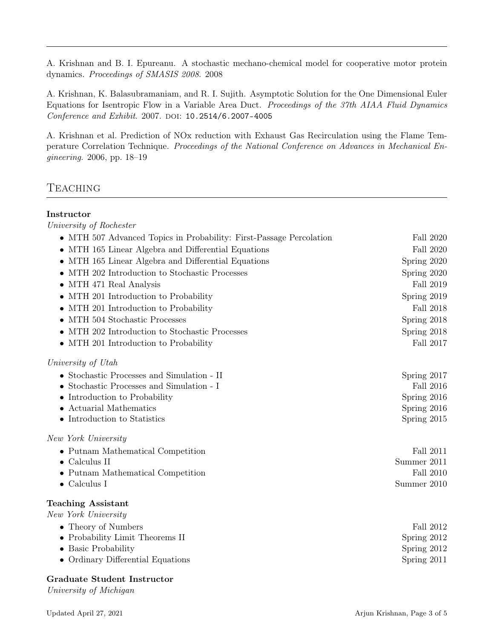A. Krishnan and B. I. Epureanu. A stochastic mechano-chemical model for cooperative motor protein dynamics. Proceedings of SMASIS 2008. 2008

A. Krishnan, K. Balasubramaniam, and R. I. Sujith. Asymptotic Solution for the One Dimensional Euler Equations for Isentropic Flow in a Variable Area Duct. Proceedings of the 37th AIAA Fluid Dynamics Conference and Exhibit. 2007. DOI: [10.2514/6.2007-4005](https://doi.org/10.2514/6.2007-4005)

A. Krishnan et al. Prediction of NOx reduction with Exhaust Gas Recirculation using the Flame Temperature Correlation Technique. Proceedings of the National Conference on Advances in Mechanical Engineering. 2006, pp. 18–19

# **TEACHING**

## Instructor

University of Rochester • MTH 507 Advanced Topics in Probability: First-Passage Percolation Fall 2020 • MTH 165 Linear Algebra and Differential Equations Fall 2020 • MTH 165 Linear Algebra and Differential Equations Spring 2020 • MTH 202 Introduction to Stochastic Processes Spring 2020 • MTH 471 Real Analysis Fall 2019 • MTH 201 Introduction to Probability Spring 2019 • MTH 201 Introduction to Probability Fall 2018 • MTH 504 Stochastic Processes Spring 2018 • MTH 202 Introduction to Stochastic Processes Spring 2018 • MTH 201 Introduction to Probability Fall 2017 University of Utah • Stochastic Processes and Simulation - II Spring 2017 • Stochastic Processes and Simulation - I Fall 2016 • Introduction to Probability Spring 2016 • Actuarial Mathematics Spring 2016 • Introduction to Statistics Spring 2015 New York University • Putnam Mathematical Competition Fall 2011 • Calculus II Summer 2011 • Putnam Mathematical Competition Fall 2010 • Calculus I Summer 2010 Teaching Assistant New York University • Theory of Numbers Fall 2012 • Probability Limit Theorems II Spring 2012 • Basic Probability Spring 2012 • Ordinary Differential Equations Spring 2011

## Graduate Student Instructor

University of Michigan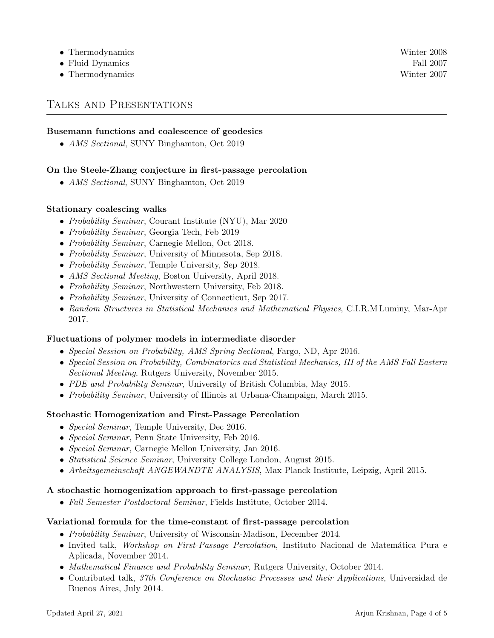- Thermodynamics Winter 2008
- Fluid Dynamics Fall 2007
- Thermodynamics Winter 2007

## Talks and Presentations

## Busemann functions and coalescence of geodesics

• AMS Sectional, SUNY Binghamton, Oct 2019

## On the Steele-Zhang conjecture in first-passage percolation

• AMS Sectional, SUNY Binghamton, Oct 2019

#### Stationary coalescing walks

- Probability Seminar, Courant Institute (NYU), Mar 2020
- Probability Seminar, Georgia Tech, Feb 2019
- Probability Seminar, Carnegie Mellon, Oct 2018.
- Probability Seminar, University of Minnesota, Sep 2018.
- Probability Seminar, Temple University, Sep 2018.
- AMS Sectional Meeting, Boston University, April 2018.
- *Probability Seminar*, Northwestern University, Feb 2018.
- Probability Seminar, University of Connecticut, Sep 2017.
- Random Structures in Statistical Mechanics and Mathematical Physics, C.I.R.M Luminy, Mar-Apr 2017.

#### Fluctuations of polymer models in intermediate disorder

- Special Session on Probability, AMS Spring Sectional, Fargo, ND, Apr 2016.
- Special Session on Probability, Combinatorics and Statistical Mechanics, III of the AMS Fall Eastern Sectional Meeting, Rutgers University, November 2015.
- PDE and Probability Seminar, University of British Columbia, May 2015.
- Probability Seminar, University of Illinois at Urbana-Champaign, March 2015.

## Stochastic Homogenization and First-Passage Percolation

- *Special Seminar*, Temple University, Dec 2016.
- Special Seminar, Penn State University, Feb 2016.
- Special Seminar, Carnegie Mellon University, Jan 2016.
- *Statistical Science Seminar*, University College London, August 2015.
- Arbeitsgemeinschaft ANGEWANDTE ANALYSIS, Max Planck Institute, Leipzig, April 2015.

#### A stochastic homogenization approach to first-passage percolation

• Fall Semester Postdoctoral Seminar, Fields Institute, October 2014.

#### Variational formula for the time-constant of first-passage percolation

- Probability Seminar, University of Wisconsin-Madison, December 2014.
- Invited talk, Workshop on First-Passage Percolation, Instituto Nacional de Matemática Pura e Aplicada, November 2014.
- Mathematical Finance and Probability Seminar, Rutgers University, October 2014.
- Contributed talk, 37th Conference on Stochastic Processes and their Applications, Universidad de Buenos Aires, July 2014.